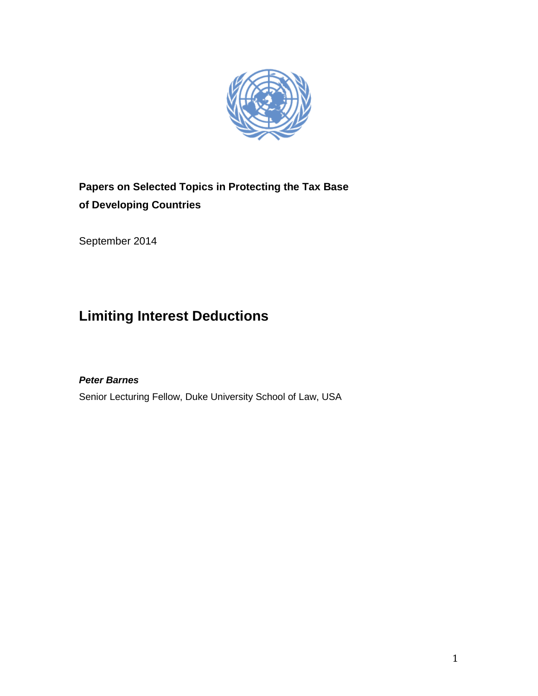

## **Papers on Selected Topics in Protecting the Tax Base of Developing Countries**

September 2014

# **Limiting Interest Deductions**

## *Peter Barnes*

Senior Lecturing Fellow, Duke University School of Law, USA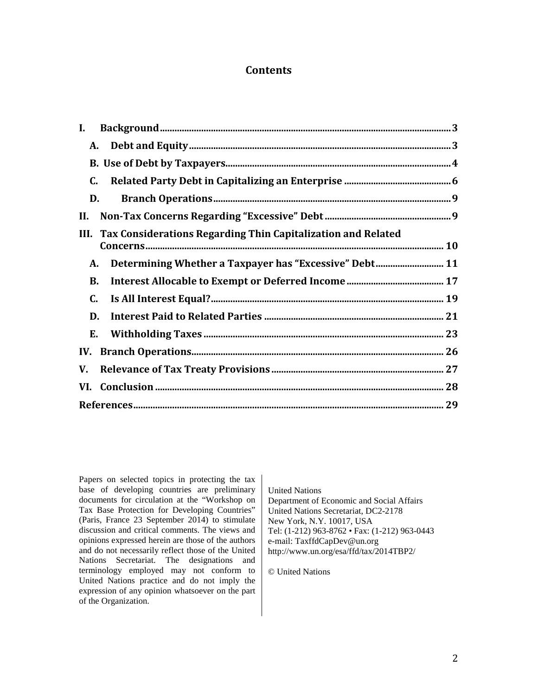### **Contents**

| I.                                                                   |  |
|----------------------------------------------------------------------|--|
| A.                                                                   |  |
|                                                                      |  |
| C.                                                                   |  |
| D.                                                                   |  |
| II.                                                                  |  |
| Tax Considerations Regarding Thin Capitalization and Related<br>III. |  |
| Determining Whether a Taxpayer has "Excessive" Debt 11<br>А.         |  |
| <b>B.</b>                                                            |  |
| C.                                                                   |  |
| D.                                                                   |  |
| Е.                                                                   |  |
| IV.                                                                  |  |
| V.                                                                   |  |
|                                                                      |  |
|                                                                      |  |

Papers on selected topics in protecting the tax base of developing countries are preliminary documents for circulation at the "Workshop on Tax Base Protection for Developing Countries" (Paris, France 23 September 2014) to stimulate discussion and critical comments. The views and opinions expressed herein are those of the authors and do not necessarily reflect those of the United Nations Secretariat. The designations and terminology employed may not conform to United Nations practice and do not imply the expression of any opinion whatsoever on the part of the Organization.

United Nations Department of Economic and Social Affairs United Nations Secretariat, DC2-2178 New York, N.Y. 10017, USA Tel: (1-212) 963-8762 • Fax: (1-212) 963-0443 e-mail: TaxffdCapDev@un.org http://www.un.org/esa/ffd/tax/2014TBP2/

© United Nations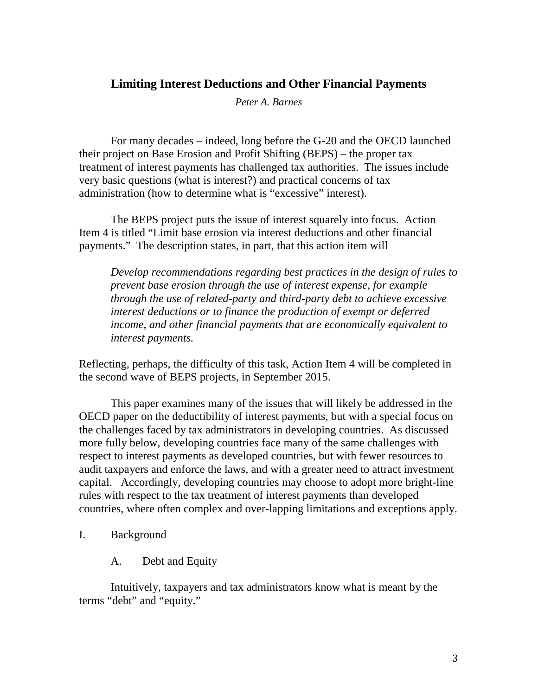## **Limiting Interest Deductions and Other Financial Payments**

*Peter A. Barnes*

For many decades – indeed, long before the G-20 and the OECD launched their project on Base Erosion and Profit Shifting (BEPS) – the proper tax treatment of interest payments has challenged tax authorities. The issues include very basic questions (what is interest?) and practical concerns of tax administration (how to determine what is "excessive" interest).

The BEPS project puts the issue of interest squarely into focus. Action Item 4 is titled "Limit base erosion via interest deductions and other financial payments." The description states, in part, that this action item will

*Develop recommendations regarding best practices in the design of rules to prevent base erosion through the use of interest expense, for example through the use of related-party and third-party debt to achieve excessive interest deductions or to finance the production of exempt or deferred income, and other financial payments that are economically equivalent to interest payments.* 

Reflecting, perhaps, the difficulty of this task, Action Item 4 will be completed in the second wave of BEPS projects, in September 2015.

This paper examines many of the issues that will likely be addressed in the OECD paper on the deductibility of interest payments, but with a special focus on the challenges faced by tax administrators in developing countries. As discussed more fully below, developing countries face many of the same challenges with respect to interest payments as developed countries, but with fewer resources to audit taxpayers and enforce the laws, and with a greater need to attract investment capital. Accordingly, developing countries may choose to adopt more bright-line rules with respect to the tax treatment of interest payments than developed countries, where often complex and over-lapping limitations and exceptions apply.

- <span id="page-2-1"></span><span id="page-2-0"></span>I. Background
	- A. Debt and Equity

Intuitively, taxpayers and tax administrators know what is meant by the terms "debt" and "equity."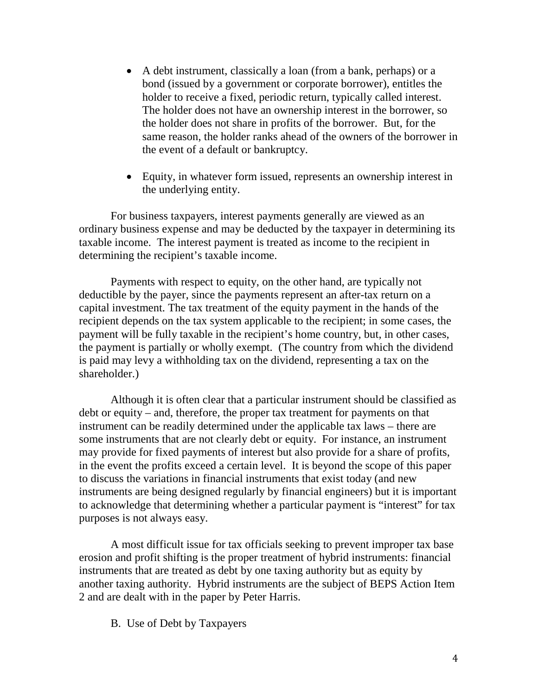- A debt instrument, classically a loan (from a bank, perhaps) or a bond (issued by a government or corporate borrower), entitles the holder to receive a fixed, periodic return, typically called interest. The holder does not have an ownership interest in the borrower, so the holder does not share in profits of the borrower. But, for the same reason, the holder ranks ahead of the owners of the borrower in the event of a default or bankruptcy.
- Equity, in whatever form issued, represents an ownership interest in the underlying entity.

For business taxpayers, interest payments generally are viewed as an ordinary business expense and may be deducted by the taxpayer in determining its taxable income. The interest payment is treated as income to the recipient in determining the recipient's taxable income.

Payments with respect to equity, on the other hand, are typically not deductible by the payer, since the payments represent an after-tax return on a capital investment. The tax treatment of the equity payment in the hands of the recipient depends on the tax system applicable to the recipient; in some cases, the payment will be fully taxable in the recipient's home country, but, in other cases, the payment is partially or wholly exempt. (The country from which the dividend is paid may levy a withholding tax on the dividend, representing a tax on the shareholder.)

Although it is often clear that a particular instrument should be classified as debt or equity – and, therefore, the proper tax treatment for payments on that instrument can be readily determined under the applicable tax laws – there are some instruments that are not clearly debt or equity. For instance, an instrument may provide for fixed payments of interest but also provide for a share of profits, in the event the profits exceed a certain level. It is beyond the scope of this paper to discuss the variations in financial instruments that exist today (and new instruments are being designed regularly by financial engineers) but it is important to acknowledge that determining whether a particular payment is "interest" for tax purposes is not always easy.

A most difficult issue for tax officials seeking to prevent improper tax base erosion and profit shifting is the proper treatment of hybrid instruments: financial instruments that are treated as debt by one taxing authority but as equity by another taxing authority. Hybrid instruments are the subject of BEPS Action Item 2 and are dealt with in the paper by Peter Harris.

<span id="page-3-0"></span>B. Use of Debt by Taxpayers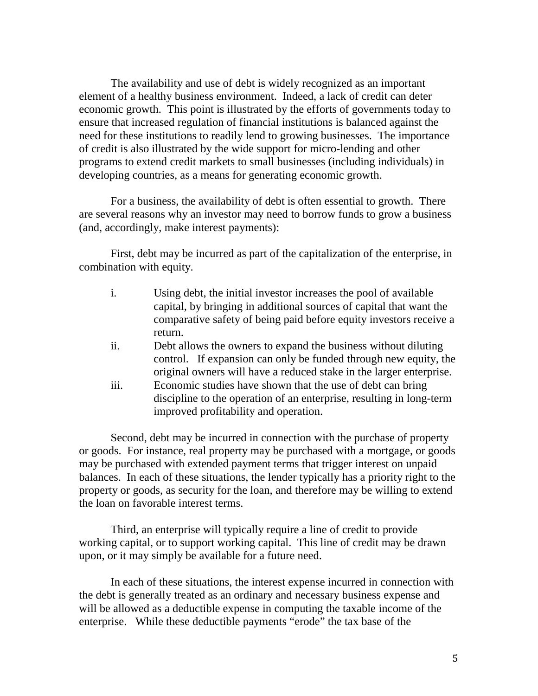The availability and use of debt is widely recognized as an important element of a healthy business environment. Indeed, a lack of credit can deter economic growth. This point is illustrated by the efforts of governments today to ensure that increased regulation of financial institutions is balanced against the need for these institutions to readily lend to growing businesses. The importance of credit is also illustrated by the wide support for micro-lending and other programs to extend credit markets to small businesses (including individuals) in developing countries, as a means for generating economic growth.

For a business, the availability of debt is often essential to growth. There are several reasons why an investor may need to borrow funds to grow a business (and, accordingly, make interest payments):

First, debt may be incurred as part of the capitalization of the enterprise, in combination with equity.

- i. Using debt, the initial investor increases the pool of available capital, by bringing in additional sources of capital that want the comparative safety of being paid before equity investors receive a return.
- ii. Debt allows the owners to expand the business without diluting control. If expansion can only be funded through new equity, the original owners will have a reduced stake in the larger enterprise.
- iii. Economic studies have shown that the use of debt can bring discipline to the operation of an enterprise, resulting in long-term improved profitability and operation.

Second, debt may be incurred in connection with the purchase of property or goods. For instance, real property may be purchased with a mortgage, or goods may be purchased with extended payment terms that trigger interest on unpaid balances. In each of these situations, the lender typically has a priority right to the property or goods, as security for the loan, and therefore may be willing to extend the loan on favorable interest terms.

Third, an enterprise will typically require a line of credit to provide working capital, or to support working capital. This line of credit may be drawn upon, or it may simply be available for a future need.

In each of these situations, the interest expense incurred in connection with the debt is generally treated as an ordinary and necessary business expense and will be allowed as a deductible expense in computing the taxable income of the enterprise. While these deductible payments "erode" the tax base of the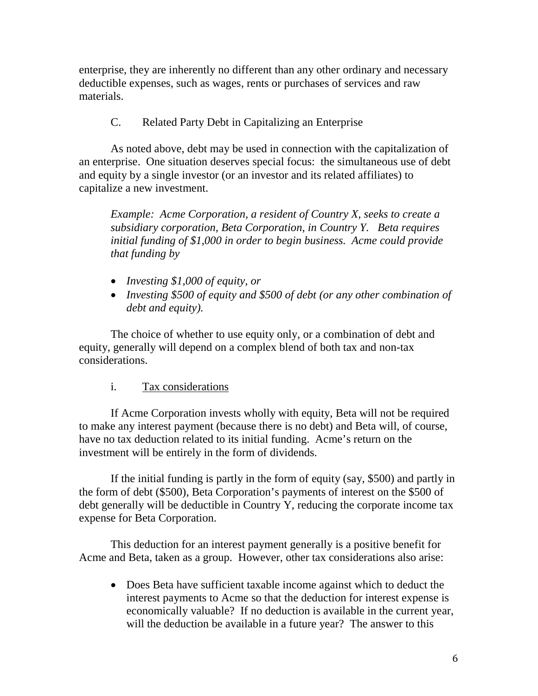enterprise, they are inherently no different than any other ordinary and necessary deductible expenses, such as wages, rents or purchases of services and raw materials.

## C. Related Party Debt in Capitalizing an Enterprise

<span id="page-5-0"></span>As noted above, debt may be used in connection with the capitalization of an enterprise. One situation deserves special focus: the simultaneous use of debt and equity by a single investor (or an investor and its related affiliates) to capitalize a new investment.

*Example: Acme Corporation, a resident of Country X, seeks to create a subsidiary corporation, Beta Corporation, in Country Y. Beta requires initial funding of \$1,000 in order to begin business. Acme could provide that funding by* 

- *Investing \$1,000 of equity, or*
- *Investing \$500 of equity and \$500 of debt (or any other combination of debt and equity).*

The choice of whether to use equity only, or a combination of debt and equity, generally will depend on a complex blend of both tax and non-tax considerations.

## i. Tax considerations

If Acme Corporation invests wholly with equity, Beta will not be required to make any interest payment (because there is no debt) and Beta will, of course, have no tax deduction related to its initial funding. Acme's return on the investment will be entirely in the form of dividends.

If the initial funding is partly in the form of equity (say, \$500) and partly in the form of debt (\$500), Beta Corporation's payments of interest on the \$500 of debt generally will be deductible in Country Y, reducing the corporate income tax expense for Beta Corporation.

This deduction for an interest payment generally is a positive benefit for Acme and Beta, taken as a group. However, other tax considerations also arise:

• Does Beta have sufficient taxable income against which to deduct the interest payments to Acme so that the deduction for interest expense is economically valuable? If no deduction is available in the current year, will the deduction be available in a future year? The answer to this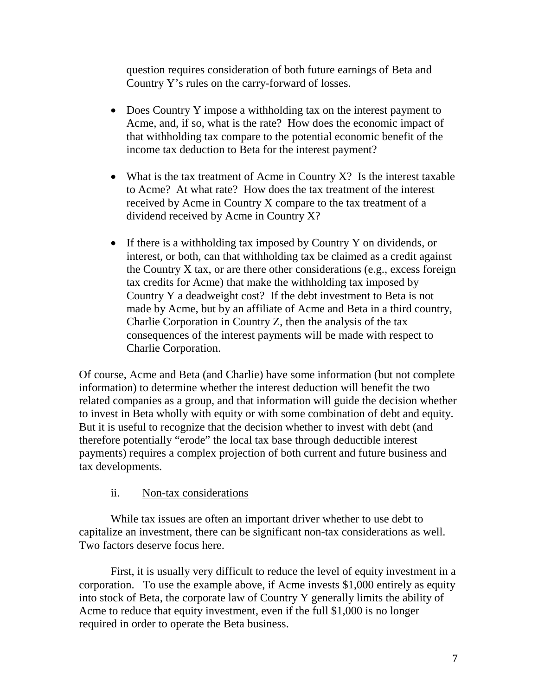question requires consideration of both future earnings of Beta and Country Y's rules on the carry-forward of losses.

- Does Country Y impose a withholding tax on the interest payment to Acme, and, if so, what is the rate? How does the economic impact of that withholding tax compare to the potential economic benefit of the income tax deduction to Beta for the interest payment?
- What is the tax treatment of Acme in Country  $X$ ? Is the interest taxable to Acme? At what rate? How does the tax treatment of the interest received by Acme in Country X compare to the tax treatment of a dividend received by Acme in Country X?
- If there is a withholding tax imposed by Country Y on dividends, or interest, or both, can that withholding tax be claimed as a credit against the Country X tax, or are there other considerations (e.g., excess foreign tax credits for Acme) that make the withholding tax imposed by Country Y a deadweight cost? If the debt investment to Beta is not made by Acme, but by an affiliate of Acme and Beta in a third country, Charlie Corporation in Country Z, then the analysis of the tax consequences of the interest payments will be made with respect to Charlie Corporation.

Of course, Acme and Beta (and Charlie) have some information (but not complete information) to determine whether the interest deduction will benefit the two related companies as a group, and that information will guide the decision whether to invest in Beta wholly with equity or with some combination of debt and equity. But it is useful to recognize that the decision whether to invest with debt (and therefore potentially "erode" the local tax base through deductible interest payments) requires a complex projection of both current and future business and tax developments.

## ii. Non-tax considerations

While tax issues are often an important driver whether to use debt to capitalize an investment, there can be significant non-tax considerations as well. Two factors deserve focus here.

First, it is usually very difficult to reduce the level of equity investment in a corporation. To use the example above, if Acme invests \$1,000 entirely as equity into stock of Beta, the corporate law of Country Y generally limits the ability of Acme to reduce that equity investment, even if the full \$1,000 is no longer required in order to operate the Beta business.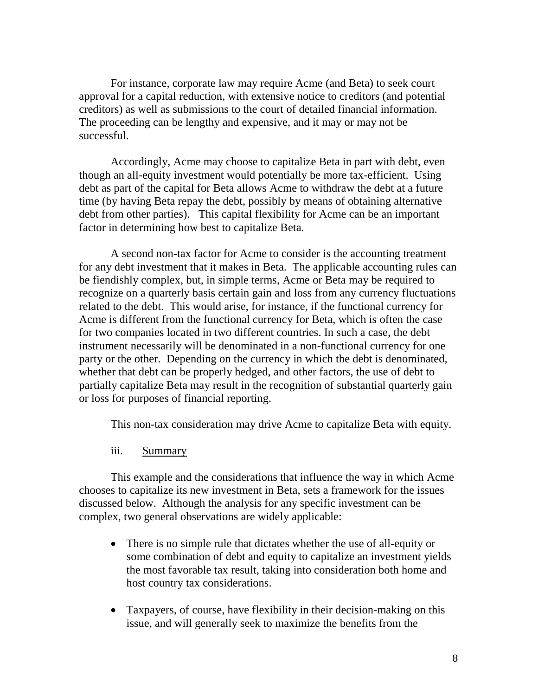For instance, corporate law may require Acme (and Beta) to seek court approval for a capital reduction, with extensive notice to creditors (and potential creditors) as well as submissions to the court of detailed financial information. The proceeding can be lengthy and expensive, and it may or may not be successful.

Accordingly, Acme may choose to capitalize Beta in part with debt, even though an all-equity investment would potentially be more tax-efficient. Using debt as part of the capital for Beta allows Acme to withdraw the debt at a future time (by having Beta repay the debt, possibly by means of obtaining alternative debt from other parties). This capital flexibility for Acme can be an important factor in determining how best to capitalize Beta.

A second non-tax factor for Acme to consider is the accounting treatment for any debt investment that it makes in Beta. The applicable accounting rules can be fiendishly complex, but, in simple terms, Acme or Beta may be required to recognize on a quarterly basis certain gain and loss from any currency fluctuations related to the debt. This would arise, for instance, if the functional currency for Acme is different from the functional currency for Beta, which is often the case for two companies located in two different countries. In such a case, the debt instrument necessarily will be denominated in a non-functional currency for one party or the other. Depending on the currency in which the debt is denominated, whether that debt can be properly hedged, and other factors, the use of debt to partially capitalize Beta may result in the recognition of substantial quarterly gain or loss for purposes of financial reporting.

This non-tax consideration may drive Acme to capitalize Beta with equity.

iii. Summary

This example and the considerations that influence the way in which Acme chooses to capitalize its new investment in Beta, sets a framework for the issues discussed below. Although the analysis for any specific investment can be complex, two general observations are widely applicable:

- There is no simple rule that dictates whether the use of all-equity or some combination of debt and equity to capitalize an investment yields the most favorable tax result, taking into consideration both home and host country tax considerations.
- Taxpayers, of course, have flexibility in their decision-making on this issue, and will generally seek to maximize the benefits from the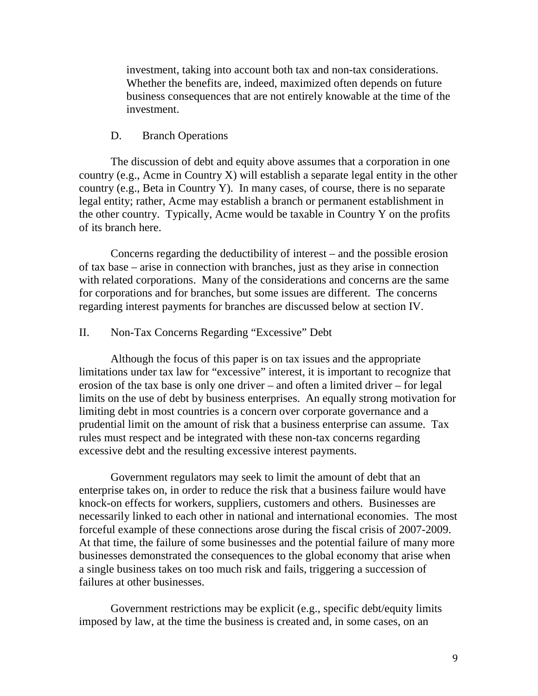investment, taking into account both tax and non-tax considerations. Whether the benefits are, indeed, maximized often depends on future business consequences that are not entirely knowable at the time of the investment.

#### D. Branch Operations

<span id="page-8-0"></span>The discussion of debt and equity above assumes that a corporation in one country (e.g., Acme in Country X) will establish a separate legal entity in the other country (e.g., Beta in Country Y). In many cases, of course, there is no separate legal entity; rather, Acme may establish a branch or permanent establishment in the other country. Typically, Acme would be taxable in Country Y on the profits of its branch here.

Concerns regarding the deductibility of interest – and the possible erosion of tax base – arise in connection with branches, just as they arise in connection with related corporations. Many of the considerations and concerns are the same for corporations and for branches, but some issues are different. The concerns regarding interest payments for branches are discussed below at section IV.

#### <span id="page-8-1"></span>II. Non-Tax Concerns Regarding "Excessive" Debt

Although the focus of this paper is on tax issues and the appropriate limitations under tax law for "excessive" interest, it is important to recognize that erosion of the tax base is only one driver – and often a limited driver – for legal limits on the use of debt by business enterprises. An equally strong motivation for limiting debt in most countries is a concern over corporate governance and a prudential limit on the amount of risk that a business enterprise can assume. Tax rules must respect and be integrated with these non-tax concerns regarding excessive debt and the resulting excessive interest payments.

Government regulators may seek to limit the amount of debt that an enterprise takes on, in order to reduce the risk that a business failure would have knock-on effects for workers, suppliers, customers and others. Businesses are necessarily linked to each other in national and international economies. The most forceful example of these connections arose during the fiscal crisis of 2007-2009. At that time, the failure of some businesses and the potential failure of many more businesses demonstrated the consequences to the global economy that arise when a single business takes on too much risk and fails, triggering a succession of failures at other businesses.

Government restrictions may be explicit (e.g., specific debt/equity limits imposed by law, at the time the business is created and, in some cases, on an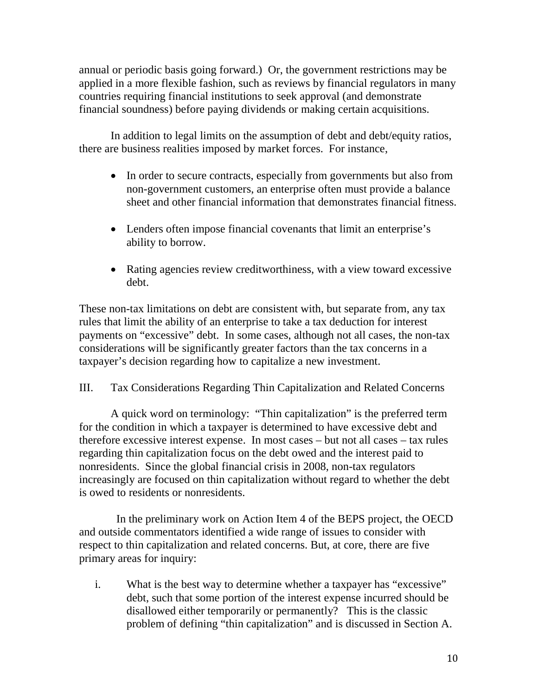annual or periodic basis going forward.) Or, the government restrictions may be applied in a more flexible fashion, such as reviews by financial regulators in many countries requiring financial institutions to seek approval (and demonstrate financial soundness) before paying dividends or making certain acquisitions.

In addition to legal limits on the assumption of debt and debt/equity ratios, there are business realities imposed by market forces. For instance,

- In order to secure contracts, especially from governments but also from non-government customers, an enterprise often must provide a balance sheet and other financial information that demonstrates financial fitness.
- Lenders often impose financial covenants that limit an enterprise's ability to borrow.
- Rating agencies review creditworthiness, with a view toward excessive debt.

These non-tax limitations on debt are consistent with, but separate from, any tax rules that limit the ability of an enterprise to take a tax deduction for interest payments on "excessive" debt. In some cases, although not all cases, the non-tax considerations will be significantly greater factors than the tax concerns in a taxpayer's decision regarding how to capitalize a new investment.

<span id="page-9-0"></span>III. Tax Considerations Regarding Thin Capitalization and Related Concerns

A quick word on terminology: "Thin capitalization" is the preferred term for the condition in which a taxpayer is determined to have excessive debt and therefore excessive interest expense. In most cases – but not all cases – tax rules regarding thin capitalization focus on the debt owed and the interest paid to nonresidents. Since the global financial crisis in 2008, non-tax regulators increasingly are focused on thin capitalization without regard to whether the debt is owed to residents or nonresidents.

 In the preliminary work on Action Item 4 of the BEPS project, the OECD and outside commentators identified a wide range of issues to consider with respect to thin capitalization and related concerns. But, at core, there are five primary areas for inquiry:

i. What is the best way to determine whether a taxpayer has "excessive" debt, such that some portion of the interest expense incurred should be disallowed either temporarily or permanently? This is the classic problem of defining "thin capitalization" and is discussed in Section A.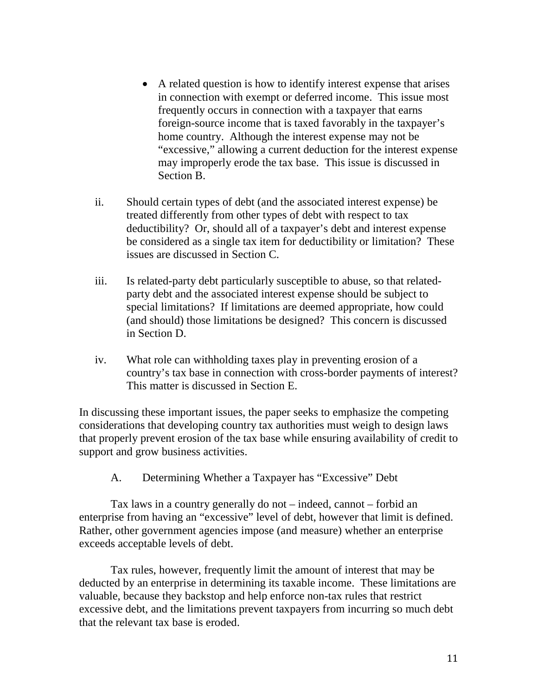- A related question is how to identify interest expense that arises in connection with exempt or deferred income. This issue most frequently occurs in connection with a taxpayer that earns foreign-source income that is taxed favorably in the taxpayer's home country. Although the interest expense may not be "excessive," allowing a current deduction for the interest expense may improperly erode the tax base. This issue is discussed in Section B.
- ii. Should certain types of debt (and the associated interest expense) be treated differently from other types of debt with respect to tax deductibility? Or, should all of a taxpayer's debt and interest expense be considered as a single tax item for deductibility or limitation? These issues are discussed in Section C.
- iii. Is related-party debt particularly susceptible to abuse, so that relatedparty debt and the associated interest expense should be subject to special limitations? If limitations are deemed appropriate, how could (and should) those limitations be designed? This concern is discussed in Section D.
- iv. What role can withholding taxes play in preventing erosion of a country's tax base in connection with cross-border payments of interest? This matter is discussed in Section E.

In discussing these important issues, the paper seeks to emphasize the competing considerations that developing country tax authorities must weigh to design laws that properly prevent erosion of the tax base while ensuring availability of credit to support and grow business activities.

A. Determining Whether a Taxpayer has "Excessive" Debt

<span id="page-10-0"></span>Tax laws in a country generally do not – indeed, cannot – forbid an enterprise from having an "excessive" level of debt, however that limit is defined. Rather, other government agencies impose (and measure) whether an enterprise exceeds acceptable levels of debt.

Tax rules, however, frequently limit the amount of interest that may be deducted by an enterprise in determining its taxable income. These limitations are valuable, because they backstop and help enforce non-tax rules that restrict excessive debt, and the limitations prevent taxpayers from incurring so much debt that the relevant tax base is eroded.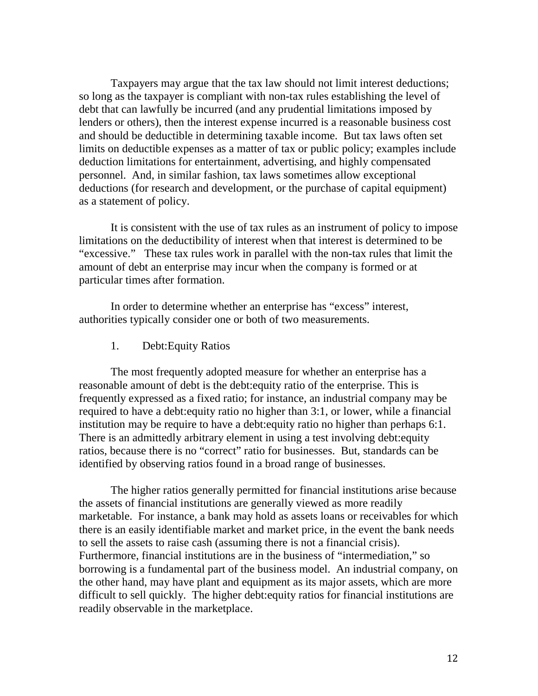Taxpayers may argue that the tax law should not limit interest deductions; so long as the taxpayer is compliant with non-tax rules establishing the level of debt that can lawfully be incurred (and any prudential limitations imposed by lenders or others), then the interest expense incurred is a reasonable business cost and should be deductible in determining taxable income. But tax laws often set limits on deductible expenses as a matter of tax or public policy; examples include deduction limitations for entertainment, advertising, and highly compensated personnel. And, in similar fashion, tax laws sometimes allow exceptional deductions (for research and development, or the purchase of capital equipment) as a statement of policy.

It is consistent with the use of tax rules as an instrument of policy to impose limitations on the deductibility of interest when that interest is determined to be "excessive." These tax rules work in parallel with the non-tax rules that limit the amount of debt an enterprise may incur when the company is formed or at particular times after formation.

In order to determine whether an enterprise has "excess" interest, authorities typically consider one or both of two measurements.

1. Debt:Equity Ratios

The most frequently adopted measure for whether an enterprise has a reasonable amount of debt is the debt:equity ratio of the enterprise. This is frequently expressed as a fixed ratio; for instance, an industrial company may be required to have a debt:equity ratio no higher than 3:1, or lower, while a financial institution may be require to have a debt:equity ratio no higher than perhaps 6:1. There is an admittedly arbitrary element in using a test involving debt:equity ratios, because there is no "correct" ratio for businesses. But, standards can be identified by observing ratios found in a broad range of businesses.

The higher ratios generally permitted for financial institutions arise because the assets of financial institutions are generally viewed as more readily marketable. For instance, a bank may hold as assets loans or receivables for which there is an easily identifiable market and market price, in the event the bank needs to sell the assets to raise cash (assuming there is not a financial crisis). Furthermore, financial institutions are in the business of "intermediation," so borrowing is a fundamental part of the business model. An industrial company, on the other hand, may have plant and equipment as its major assets, which are more difficult to sell quickly. The higher debt:equity ratios for financial institutions are readily observable in the marketplace.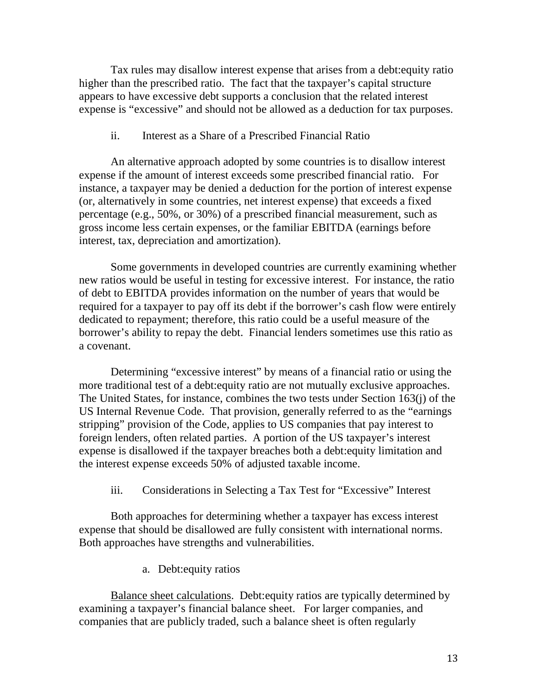Tax rules may disallow interest expense that arises from a debt:equity ratio higher than the prescribed ratio. The fact that the taxpayer's capital structure appears to have excessive debt supports a conclusion that the related interest expense is "excessive" and should not be allowed as a deduction for tax purposes.

#### ii. Interest as a Share of a Prescribed Financial Ratio

An alternative approach adopted by some countries is to disallow interest expense if the amount of interest exceeds some prescribed financial ratio. For instance, a taxpayer may be denied a deduction for the portion of interest expense (or, alternatively in some countries, net interest expense) that exceeds a fixed percentage (e.g., 50%, or 30%) of a prescribed financial measurement, such as gross income less certain expenses, or the familiar EBITDA (earnings before interest, tax, depreciation and amortization).

Some governments in developed countries are currently examining whether new ratios would be useful in testing for excessive interest. For instance, the ratio of debt to EBITDA provides information on the number of years that would be required for a taxpayer to pay off its debt if the borrower's cash flow were entirely dedicated to repayment; therefore, this ratio could be a useful measure of the borrower's ability to repay the debt. Financial lenders sometimes use this ratio as a covenant.

Determining "excessive interest" by means of a financial ratio or using the more traditional test of a debt:equity ratio are not mutually exclusive approaches. The United States, for instance, combines the two tests under Section 163(j) of the US Internal Revenue Code. That provision, generally referred to as the "earnings stripping" provision of the Code, applies to US companies that pay interest to foreign lenders, often related parties. A portion of the US taxpayer's interest expense is disallowed if the taxpayer breaches both a debt:equity limitation and the interest expense exceeds 50% of adjusted taxable income.

iii. Considerations in Selecting a Tax Test for "Excessive" Interest

Both approaches for determining whether a taxpayer has excess interest expense that should be disallowed are fully consistent with international norms. Both approaches have strengths and vulnerabilities.

a. Debt:equity ratios

Balance sheet calculations. Debt:equity ratios are typically determined by examining a taxpayer's financial balance sheet. For larger companies, and companies that are publicly traded, such a balance sheet is often regularly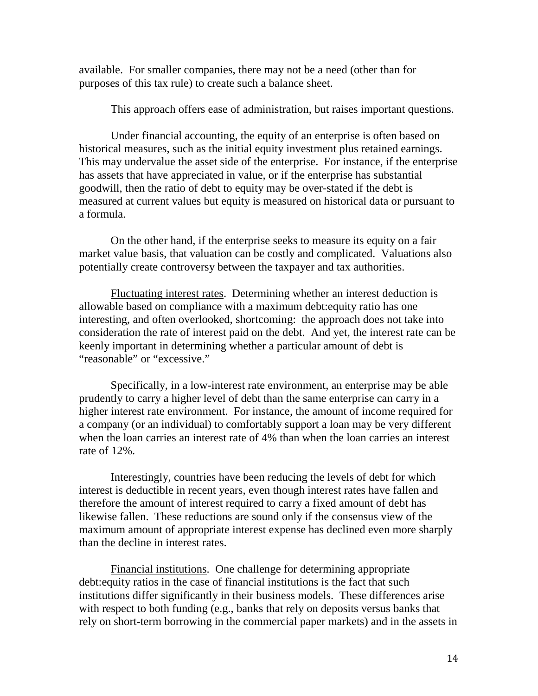available. For smaller companies, there may not be a need (other than for purposes of this tax rule) to create such a balance sheet.

This approach offers ease of administration, but raises important questions.

Under financial accounting, the equity of an enterprise is often based on historical measures, such as the initial equity investment plus retained earnings. This may undervalue the asset side of the enterprise. For instance, if the enterprise has assets that have appreciated in value, or if the enterprise has substantial goodwill, then the ratio of debt to equity may be over-stated if the debt is measured at current values but equity is measured on historical data or pursuant to a formula.

On the other hand, if the enterprise seeks to measure its equity on a fair market value basis, that valuation can be costly and complicated. Valuations also potentially create controversy between the taxpayer and tax authorities.

Fluctuating interest rates. Determining whether an interest deduction is allowable based on compliance with a maximum debt:equity ratio has one interesting, and often overlooked, shortcoming: the approach does not take into consideration the rate of interest paid on the debt. And yet, the interest rate can be keenly important in determining whether a particular amount of debt is "reasonable" or "excessive."

Specifically, in a low-interest rate environment, an enterprise may be able prudently to carry a higher level of debt than the same enterprise can carry in a higher interest rate environment. For instance, the amount of income required for a company (or an individual) to comfortably support a loan may be very different when the loan carries an interest rate of 4% than when the loan carries an interest rate of 12%.

Interestingly, countries have been reducing the levels of debt for which interest is deductible in recent years, even though interest rates have fallen and therefore the amount of interest required to carry a fixed amount of debt has likewise fallen. These reductions are sound only if the consensus view of the maximum amount of appropriate interest expense has declined even more sharply than the decline in interest rates.

Financial institutions. One challenge for determining appropriate debt:equity ratios in the case of financial institutions is the fact that such institutions differ significantly in their business models. These differences arise with respect to both funding (e.g., banks that rely on deposits versus banks that rely on short-term borrowing in the commercial paper markets) and in the assets in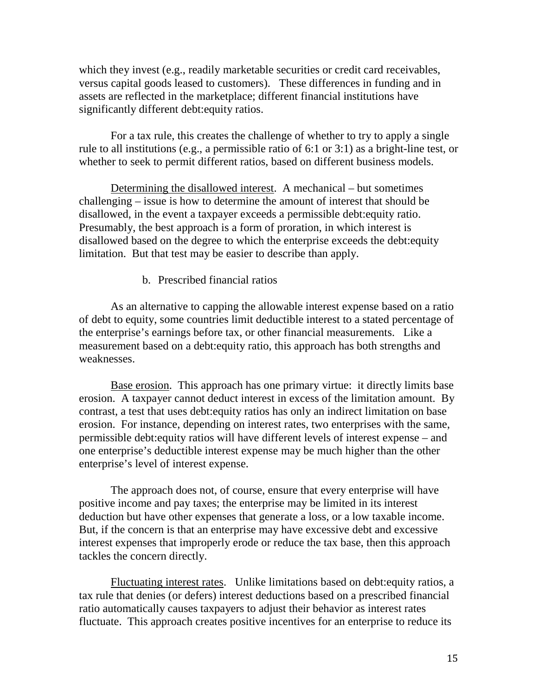which they invest (e.g., readily marketable securities or credit card receivables, versus capital goods leased to customers). These differences in funding and in assets are reflected in the marketplace; different financial institutions have significantly different debt:equity ratios.

For a tax rule, this creates the challenge of whether to try to apply a single rule to all institutions (e.g., a permissible ratio of 6:1 or 3:1) as a bright-line test, or whether to seek to permit different ratios, based on different business models.

Determining the disallowed interest. A mechanical – but sometimes challenging – issue is how to determine the amount of interest that should be disallowed, in the event a taxpayer exceeds a permissible debt:equity ratio. Presumably, the best approach is a form of proration, in which interest is disallowed based on the degree to which the enterprise exceeds the debt:equity limitation. But that test may be easier to describe than apply.

#### b. Prescribed financial ratios

As an alternative to capping the allowable interest expense based on a ratio of debt to equity, some countries limit deductible interest to a stated percentage of the enterprise's earnings before tax, or other financial measurements. Like a measurement based on a debt:equity ratio, this approach has both strengths and weaknesses.

Base erosion. This approach has one primary virtue: it directly limits base erosion. A taxpayer cannot deduct interest in excess of the limitation amount. By contrast, a test that uses debt:equity ratios has only an indirect limitation on base erosion. For instance, depending on interest rates, two enterprises with the same, permissible debt:equity ratios will have different levels of interest expense – and one enterprise's deductible interest expense may be much higher than the other enterprise's level of interest expense.

The approach does not, of course, ensure that every enterprise will have positive income and pay taxes; the enterprise may be limited in its interest deduction but have other expenses that generate a loss, or a low taxable income. But, if the concern is that an enterprise may have excessive debt and excessive interest expenses that improperly erode or reduce the tax base, then this approach tackles the concern directly.

Fluctuating interest rates. Unlike limitations based on debt:equity ratios, a tax rule that denies (or defers) interest deductions based on a prescribed financial ratio automatically causes taxpayers to adjust their behavior as interest rates fluctuate. This approach creates positive incentives for an enterprise to reduce its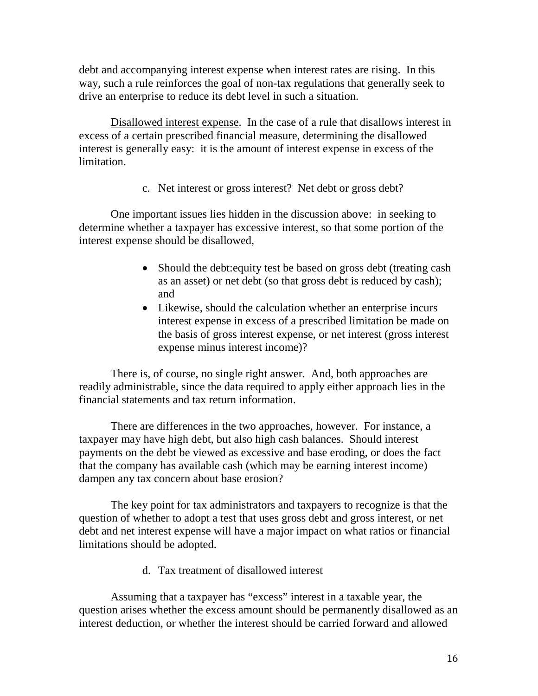debt and accompanying interest expense when interest rates are rising. In this way, such a rule reinforces the goal of non-tax regulations that generally seek to drive an enterprise to reduce its debt level in such a situation.

Disallowed interest expense. In the case of a rule that disallows interest in excess of a certain prescribed financial measure, determining the disallowed interest is generally easy: it is the amount of interest expense in excess of the limitation.

c. Net interest or gross interest? Net debt or gross debt?

One important issues lies hidden in the discussion above: in seeking to determine whether a taxpayer has excessive interest, so that some portion of the interest expense should be disallowed,

- Should the debt: equity test be based on gross debt (treating cash as an asset) or net debt (so that gross debt is reduced by cash); and
- Likewise, should the calculation whether an enterprise incurs interest expense in excess of a prescribed limitation be made on the basis of gross interest expense, or net interest (gross interest expense minus interest income)?

There is, of course, no single right answer. And, both approaches are readily administrable, since the data required to apply either approach lies in the financial statements and tax return information.

There are differences in the two approaches, however. For instance, a taxpayer may have high debt, but also high cash balances. Should interest payments on the debt be viewed as excessive and base eroding, or does the fact that the company has available cash (which may be earning interest income) dampen any tax concern about base erosion?

The key point for tax administrators and taxpayers to recognize is that the question of whether to adopt a test that uses gross debt and gross interest, or net debt and net interest expense will have a major impact on what ratios or financial limitations should be adopted.

d. Tax treatment of disallowed interest

Assuming that a taxpayer has "excess" interest in a taxable year, the question arises whether the excess amount should be permanently disallowed as an interest deduction, or whether the interest should be carried forward and allowed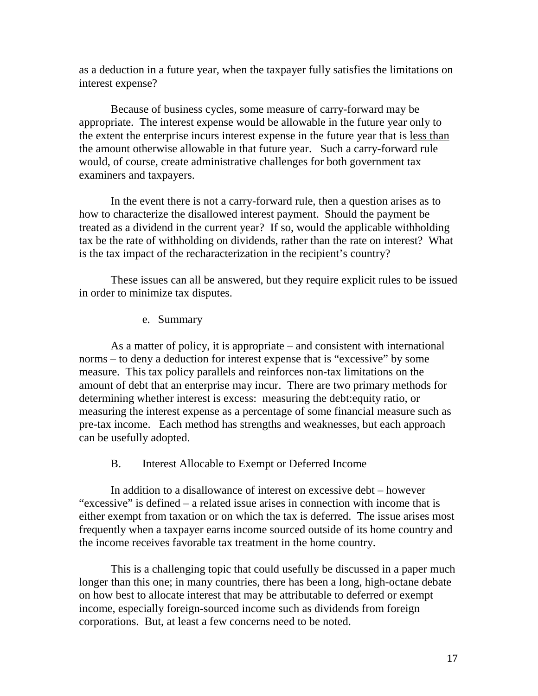as a deduction in a future year, when the taxpayer fully satisfies the limitations on interest expense?

Because of business cycles, some measure of carry-forward may be appropriate. The interest expense would be allowable in the future year only to the extent the enterprise incurs interest expense in the future year that is less than the amount otherwise allowable in that future year. Such a carry-forward rule would, of course, create administrative challenges for both government tax examiners and taxpayers.

In the event there is not a carry-forward rule, then a question arises as to how to characterize the disallowed interest payment. Should the payment be treated as a dividend in the current year? If so, would the applicable withholding tax be the rate of withholding on dividends, rather than the rate on interest? What is the tax impact of the recharacterization in the recipient's country?

These issues can all be answered, but they require explicit rules to be issued in order to minimize tax disputes.

e. Summary

As a matter of policy, it is appropriate – and consistent with international norms – to deny a deduction for interest expense that is "excessive" by some measure. This tax policy parallels and reinforces non-tax limitations on the amount of debt that an enterprise may incur. There are two primary methods for determining whether interest is excess: measuring the debt:equity ratio, or measuring the interest expense as a percentage of some financial measure such as pre-tax income. Each method has strengths and weaknesses, but each approach can be usefully adopted.

#### B. Interest Allocable to Exempt or Deferred Income

<span id="page-16-0"></span>In addition to a disallowance of interest on excessive debt – however "excessive" is defined – a related issue arises in connection with income that is either exempt from taxation or on which the tax is deferred. The issue arises most frequently when a taxpayer earns income sourced outside of its home country and the income receives favorable tax treatment in the home country.

This is a challenging topic that could usefully be discussed in a paper much longer than this one; in many countries, there has been a long, high-octane debate on how best to allocate interest that may be attributable to deferred or exempt income, especially foreign-sourced income such as dividends from foreign corporations. But, at least a few concerns need to be noted.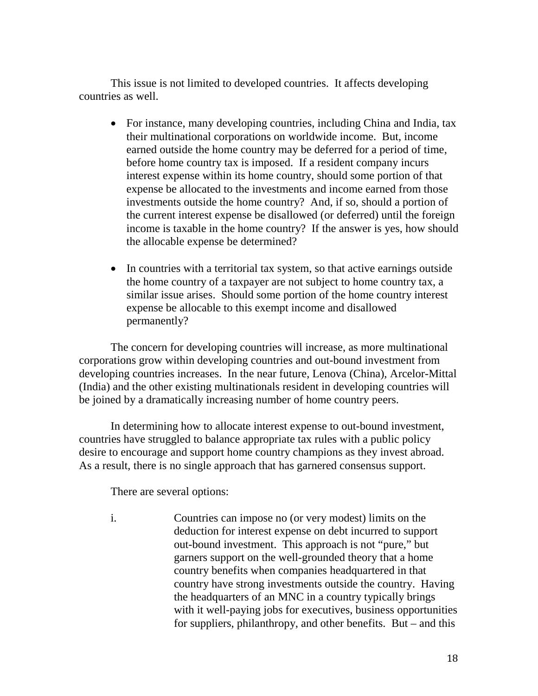This issue is not limited to developed countries. It affects developing countries as well.

- For instance, many developing countries, including China and India, tax their multinational corporations on worldwide income. But, income earned outside the home country may be deferred for a period of time, before home country tax is imposed. If a resident company incurs interest expense within its home country, should some portion of that expense be allocated to the investments and income earned from those investments outside the home country? And, if so, should a portion of the current interest expense be disallowed (or deferred) until the foreign income is taxable in the home country? If the answer is yes, how should the allocable expense be determined?
- In countries with a territorial tax system, so that active earnings outside the home country of a taxpayer are not subject to home country tax, a similar issue arises. Should some portion of the home country interest expense be allocable to this exempt income and disallowed permanently?

The concern for developing countries will increase, as more multinational corporations grow within developing countries and out-bound investment from developing countries increases. In the near future, Lenova (China), Arcelor-Mittal (India) and the other existing multinationals resident in developing countries will be joined by a dramatically increasing number of home country peers.

In determining how to allocate interest expense to out-bound investment, countries have struggled to balance appropriate tax rules with a public policy desire to encourage and support home country champions as they invest abroad. As a result, there is no single approach that has garnered consensus support.

There are several options:

i. Countries can impose no (or very modest) limits on the deduction for interest expense on debt incurred to support out-bound investment. This approach is not "pure," but garners support on the well-grounded theory that a home country benefits when companies headquartered in that country have strong investments outside the country. Having the headquarters of an MNC in a country typically brings with it well-paying jobs for executives, business opportunities for suppliers, philanthropy, and other benefits. But – and this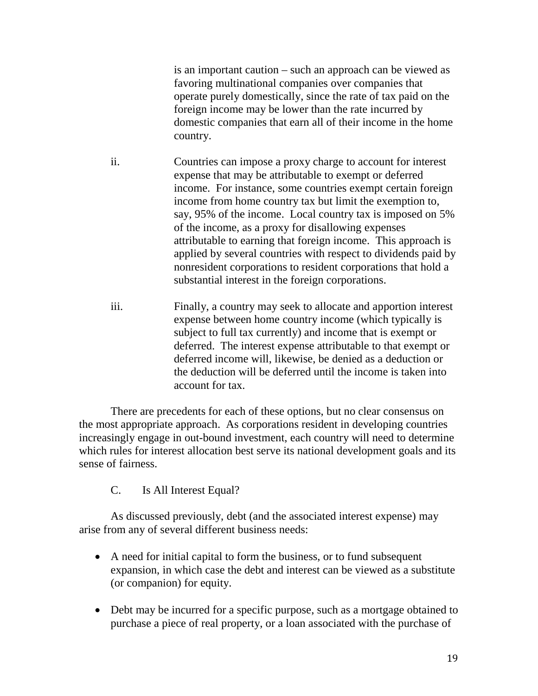is an important caution – such an approach can be viewed as favoring multinational companies over companies that operate purely domestically, since the rate of tax paid on the foreign income may be lower than the rate incurred by domestic companies that earn all of their income in the home country.

- ii. Countries can impose a proxy charge to account for interest expense that may be attributable to exempt or deferred income. For instance, some countries exempt certain foreign income from home country tax but limit the exemption to, say, 95% of the income. Local country tax is imposed on 5% of the income, as a proxy for disallowing expenses attributable to earning that foreign income. This approach is applied by several countries with respect to dividends paid by nonresident corporations to resident corporations that hold a substantial interest in the foreign corporations.
- iii. Finally, a country may seek to allocate and apportion interest expense between home country income (which typically is subject to full tax currently) and income that is exempt or deferred. The interest expense attributable to that exempt or deferred income will, likewise, be denied as a deduction or the deduction will be deferred until the income is taken into account for tax.

There are precedents for each of these options, but no clear consensus on the most appropriate approach. As corporations resident in developing countries increasingly engage in out-bound investment, each country will need to determine which rules for interest allocation best serve its national development goals and its sense of fairness.

C. Is All Interest Equal?

<span id="page-18-0"></span>As discussed previously, debt (and the associated interest expense) may arise from any of several different business needs:

- A need for initial capital to form the business, or to fund subsequent expansion, in which case the debt and interest can be viewed as a substitute (or companion) for equity.
- Debt may be incurred for a specific purpose, such as a mortgage obtained to purchase a piece of real property, or a loan associated with the purchase of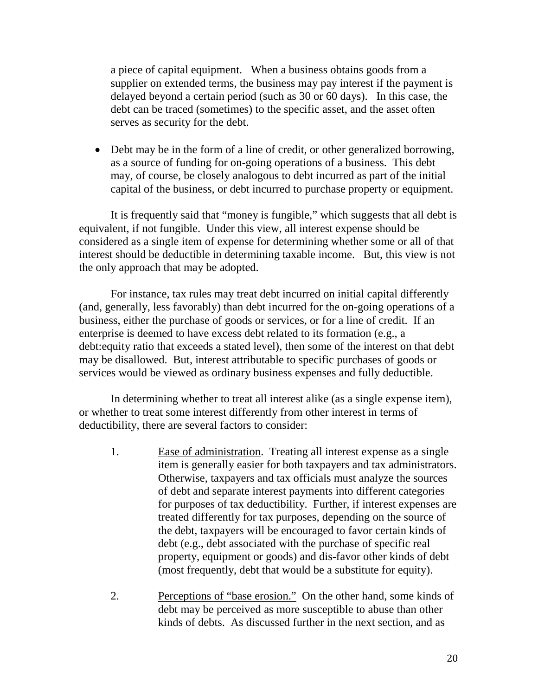a piece of capital equipment. When a business obtains goods from a supplier on extended terms, the business may pay interest if the payment is delayed beyond a certain period (such as 30 or 60 days). In this case, the debt can be traced (sometimes) to the specific asset, and the asset often serves as security for the debt.

• Debt may be in the form of a line of credit, or other generalized borrowing, as a source of funding for on-going operations of a business. This debt may, of course, be closely analogous to debt incurred as part of the initial capital of the business, or debt incurred to purchase property or equipment.

It is frequently said that "money is fungible," which suggests that all debt is equivalent, if not fungible. Under this view, all interest expense should be considered as a single item of expense for determining whether some or all of that interest should be deductible in determining taxable income. But, this view is not the only approach that may be adopted.

For instance, tax rules may treat debt incurred on initial capital differently (and, generally, less favorably) than debt incurred for the on-going operations of a business, either the purchase of goods or services, or for a line of credit. If an enterprise is deemed to have excess debt related to its formation (e.g., a debt:equity ratio that exceeds a stated level), then some of the interest on that debt may be disallowed. But, interest attributable to specific purchases of goods or services would be viewed as ordinary business expenses and fully deductible.

In determining whether to treat all interest alike (as a single expense item), or whether to treat some interest differently from other interest in terms of deductibility, there are several factors to consider:

- 1. Ease of administration. Treating all interest expense as a single item is generally easier for both taxpayers and tax administrators. Otherwise, taxpayers and tax officials must analyze the sources of debt and separate interest payments into different categories for purposes of tax deductibility. Further, if interest expenses are treated differently for tax purposes, depending on the source of the debt, taxpayers will be encouraged to favor certain kinds of debt (e.g., debt associated with the purchase of specific real property, equipment or goods) and dis-favor other kinds of debt (most frequently, debt that would be a substitute for equity).
- 2. Perceptions of "base erosion." On the other hand, some kinds of debt may be perceived as more susceptible to abuse than other kinds of debts. As discussed further in the next section, and as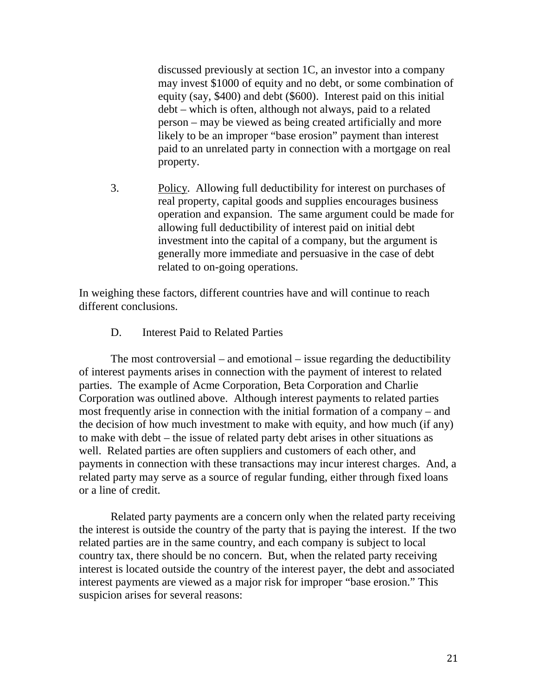discussed previously at section 1C, an investor into a company may invest \$1000 of equity and no debt, or some combination of equity (say, \$400) and debt (\$600). Interest paid on this initial debt – which is often, although not always, paid to a related person – may be viewed as being created artificially and more likely to be an improper "base erosion" payment than interest paid to an unrelated party in connection with a mortgage on real property.

3. Policy. Allowing full deductibility for interest on purchases of real property, capital goods and supplies encourages business operation and expansion. The same argument could be made for allowing full deductibility of interest paid on initial debt investment into the capital of a company, but the argument is generally more immediate and persuasive in the case of debt related to on-going operations.

In weighing these factors, different countries have and will continue to reach different conclusions.

D. Interest Paid to Related Parties

<span id="page-20-0"></span>The most controversial – and emotional – issue regarding the deductibility of interest payments arises in connection with the payment of interest to related parties. The example of Acme Corporation, Beta Corporation and Charlie Corporation was outlined above. Although interest payments to related parties most frequently arise in connection with the initial formation of a company – and the decision of how much investment to make with equity, and how much (if any) to make with debt – the issue of related party debt arises in other situations as well. Related parties are often suppliers and customers of each other, and payments in connection with these transactions may incur interest charges. And, a related party may serve as a source of regular funding, either through fixed loans or a line of credit.

Related party payments are a concern only when the related party receiving the interest is outside the country of the party that is paying the interest. If the two related parties are in the same country, and each company is subject to local country tax, there should be no concern. But, when the related party receiving interest is located outside the country of the interest payer, the debt and associated interest payments are viewed as a major risk for improper "base erosion." This suspicion arises for several reasons: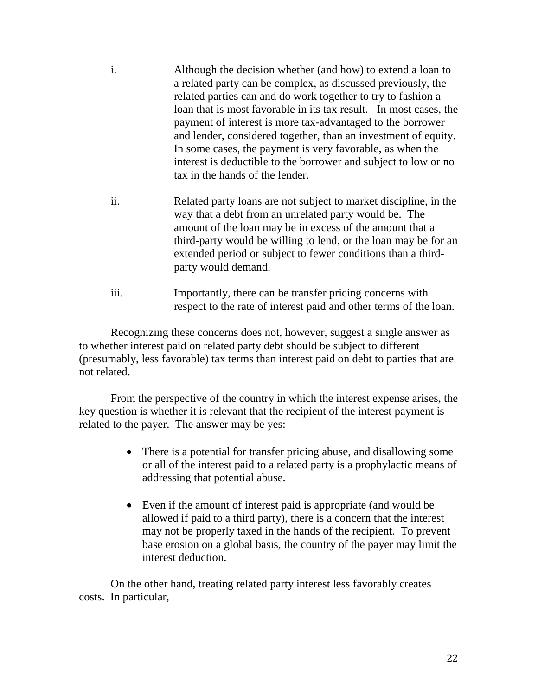- i. Although the decision whether (and how) to extend a loan to a related party can be complex, as discussed previously, the related parties can and do work together to try to fashion a loan that is most favorable in its tax result. In most cases, the payment of interest is more tax-advantaged to the borrower and lender, considered together, than an investment of equity. In some cases, the payment is very favorable, as when the interest is deductible to the borrower and subject to low or no tax in the hands of the lender.
- ii. Related party loans are not subject to market discipline, in the way that a debt from an unrelated party would be. The amount of the loan may be in excess of the amount that a third-party would be willing to lend, or the loan may be for an extended period or subject to fewer conditions than a thirdparty would demand.
- iii. Importantly, there can be transfer pricing concerns with respect to the rate of interest paid and other terms of the loan.

Recognizing these concerns does not, however, suggest a single answer as to whether interest paid on related party debt should be subject to different (presumably, less favorable) tax terms than interest paid on debt to parties that are not related.

From the perspective of the country in which the interest expense arises, the key question is whether it is relevant that the recipient of the interest payment is related to the payer. The answer may be yes:

- There is a potential for transfer pricing abuse, and disallowing some or all of the interest paid to a related party is a prophylactic means of addressing that potential abuse.
- Even if the amount of interest paid is appropriate (and would be allowed if paid to a third party), there is a concern that the interest may not be properly taxed in the hands of the recipient. To prevent base erosion on a global basis, the country of the payer may limit the interest deduction.

On the other hand, treating related party interest less favorably creates costs. In particular,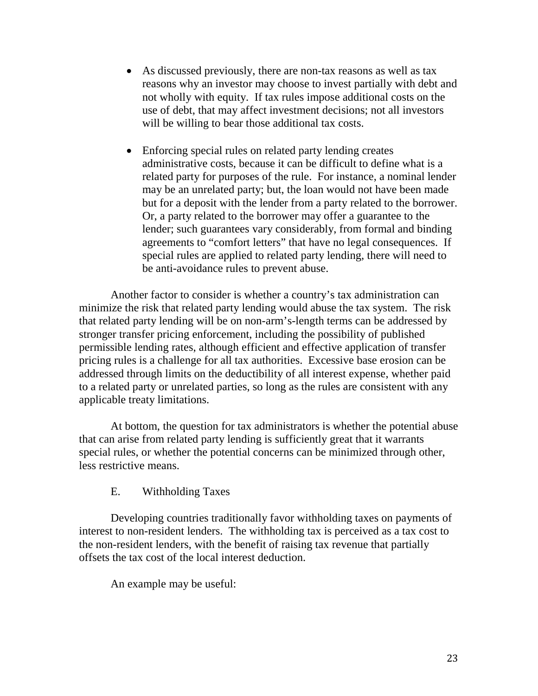- As discussed previously, there are non-tax reasons as well as tax reasons why an investor may choose to invest partially with debt and not wholly with equity. If tax rules impose additional costs on the use of debt, that may affect investment decisions; not all investors will be willing to bear those additional tax costs.
- Enforcing special rules on related party lending creates administrative costs, because it can be difficult to define what is a related party for purposes of the rule. For instance, a nominal lender may be an unrelated party; but, the loan would not have been made but for a deposit with the lender from a party related to the borrower. Or, a party related to the borrower may offer a guarantee to the lender; such guarantees vary considerably, from formal and binding agreements to "comfort letters" that have no legal consequences. If special rules are applied to related party lending, there will need to be anti-avoidance rules to prevent abuse.

Another factor to consider is whether a country's tax administration can minimize the risk that related party lending would abuse the tax system. The risk that related party lending will be on non-arm's-length terms can be addressed by stronger transfer pricing enforcement, including the possibility of published permissible lending rates, although efficient and effective application of transfer pricing rules is a challenge for all tax authorities. Excessive base erosion can be addressed through limits on the deductibility of all interest expense, whether paid to a related party or unrelated parties, so long as the rules are consistent with any applicable treaty limitations.

At bottom, the question for tax administrators is whether the potential abuse that can arise from related party lending is sufficiently great that it warrants special rules, or whether the potential concerns can be minimized through other, less restrictive means.

E. Withholding Taxes

<span id="page-22-0"></span>Developing countries traditionally favor withholding taxes on payments of interest to non-resident lenders. The withholding tax is perceived as a tax cost to the non-resident lenders, with the benefit of raising tax revenue that partially offsets the tax cost of the local interest deduction.

An example may be useful: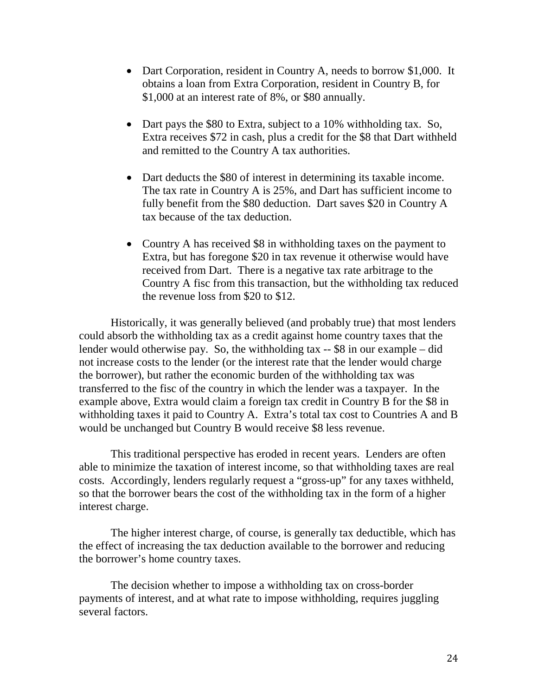- Dart Corporation, resident in Country A, needs to borrow \$1,000. It obtains a loan from Extra Corporation, resident in Country B, for \$1,000 at an interest rate of 8%, or \$80 annually.
- Dart pays the \$80 to Extra, subject to a 10% withholding tax. So, Extra receives \$72 in cash, plus a credit for the \$8 that Dart withheld and remitted to the Country A tax authorities.
- Dart deducts the \$80 of interest in determining its taxable income. The tax rate in Country A is 25%, and Dart has sufficient income to fully benefit from the \$80 deduction. Dart saves \$20 in Country A tax because of the tax deduction.
- Country A has received \$8 in withholding taxes on the payment to Extra, but has foregone \$20 in tax revenue it otherwise would have received from Dart. There is a negative tax rate arbitrage to the Country A fisc from this transaction, but the withholding tax reduced the revenue loss from \$20 to \$12.

Historically, it was generally believed (and probably true) that most lenders could absorb the withholding tax as a credit against home country taxes that the lender would otherwise pay. So, the withholding tax -- \$8 in our example – did not increase costs to the lender (or the interest rate that the lender would charge the borrower), but rather the economic burden of the withholding tax was transferred to the fisc of the country in which the lender was a taxpayer. In the example above, Extra would claim a foreign tax credit in Country B for the \$8 in withholding taxes it paid to Country A. Extra's total tax cost to Countries A and B would be unchanged but Country B would receive \$8 less revenue.

This traditional perspective has eroded in recent years. Lenders are often able to minimize the taxation of interest income, so that withholding taxes are real costs. Accordingly, lenders regularly request a "gross-up" for any taxes withheld, so that the borrower bears the cost of the withholding tax in the form of a higher interest charge.

The higher interest charge, of course, is generally tax deductible, which has the effect of increasing the tax deduction available to the borrower and reducing the borrower's home country taxes.

The decision whether to impose a withholding tax on cross-border payments of interest, and at what rate to impose withholding, requires juggling several factors.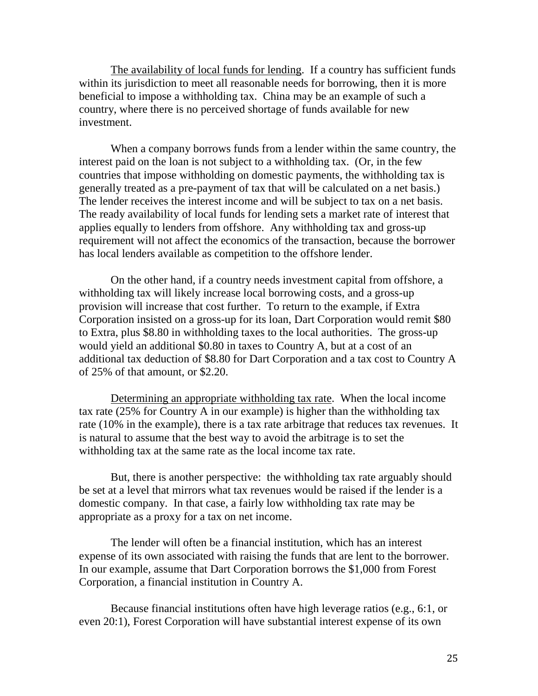The availability of local funds for lending. If a country has sufficient funds within its jurisdiction to meet all reasonable needs for borrowing, then it is more beneficial to impose a withholding tax. China may be an example of such a country, where there is no perceived shortage of funds available for new investment.

When a company borrows funds from a lender within the same country, the interest paid on the loan is not subject to a withholding tax. (Or, in the few countries that impose withholding on domestic payments, the withholding tax is generally treated as a pre-payment of tax that will be calculated on a net basis.) The lender receives the interest income and will be subject to tax on a net basis. The ready availability of local funds for lending sets a market rate of interest that applies equally to lenders from offshore. Any withholding tax and gross-up requirement will not affect the economics of the transaction, because the borrower has local lenders available as competition to the offshore lender.

On the other hand, if a country needs investment capital from offshore, a withholding tax will likely increase local borrowing costs, and a gross-up provision will increase that cost further. To return to the example, if Extra Corporation insisted on a gross-up for its loan, Dart Corporation would remit \$80 to Extra, plus \$8.80 in withholding taxes to the local authorities. The gross-up would yield an additional \$0.80 in taxes to Country A, but at a cost of an additional tax deduction of \$8.80 for Dart Corporation and a tax cost to Country A of 25% of that amount, or \$2.20.

Determining an appropriate withholding tax rate. When the local income tax rate (25% for Country A in our example) is higher than the withholding tax rate (10% in the example), there is a tax rate arbitrage that reduces tax revenues. It is natural to assume that the best way to avoid the arbitrage is to set the withholding tax at the same rate as the local income tax rate.

But, there is another perspective: the withholding tax rate arguably should be set at a level that mirrors what tax revenues would be raised if the lender is a domestic company. In that case, a fairly low withholding tax rate may be appropriate as a proxy for a tax on net income.

The lender will often be a financial institution, which has an interest expense of its own associated with raising the funds that are lent to the borrower. In our example, assume that Dart Corporation borrows the \$1,000 from Forest Corporation, a financial institution in Country A.

Because financial institutions often have high leverage ratios (e.g., 6:1, or even 20:1), Forest Corporation will have substantial interest expense of its own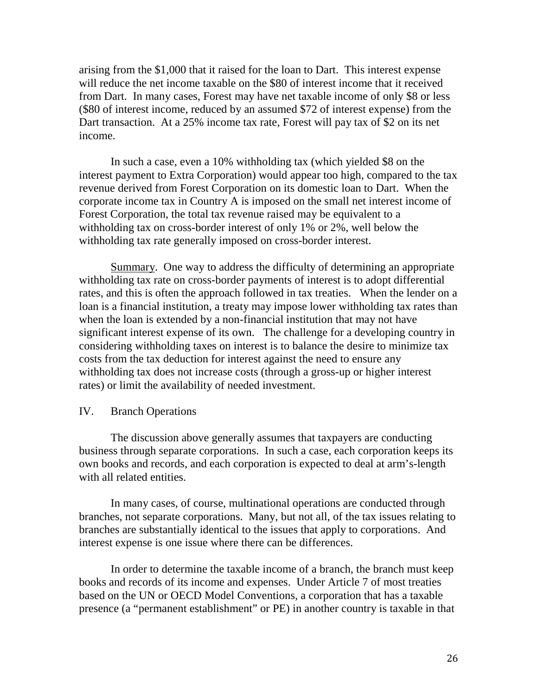arising from the \$1,000 that it raised for the loan to Dart. This interest expense will reduce the net income taxable on the \$80 of interest income that it received from Dart. In many cases, Forest may have net taxable income of only \$8 or less (\$80 of interest income, reduced by an assumed \$72 of interest expense) from the Dart transaction. At a 25% income tax rate, Forest will pay tax of \$2 on its net income.

In such a case, even a 10% withholding tax (which yielded \$8 on the interest payment to Extra Corporation) would appear too high, compared to the tax revenue derived from Forest Corporation on its domestic loan to Dart. When the corporate income tax in Country A is imposed on the small net interest income of Forest Corporation, the total tax revenue raised may be equivalent to a withholding tax on cross-border interest of only 1% or 2%, well below the withholding tax rate generally imposed on cross-border interest.

Summary. One way to address the difficulty of determining an appropriate withholding tax rate on cross-border payments of interest is to adopt differential rates, and this is often the approach followed in tax treaties. When the lender on a loan is a financial institution, a treaty may impose lower withholding tax rates than when the loan is extended by a non-financial institution that may not have significant interest expense of its own. The challenge for a developing country in considering withholding taxes on interest is to balance the desire to minimize tax costs from the tax deduction for interest against the need to ensure any withholding tax does not increase costs (through a gross-up or higher interest rates) or limit the availability of needed investment.

#### <span id="page-25-0"></span>IV. Branch Operations

The discussion above generally assumes that taxpayers are conducting business through separate corporations. In such a case, each corporation keeps its own books and records, and each corporation is expected to deal at arm's-length with all related entities.

In many cases, of course, multinational operations are conducted through branches, not separate corporations. Many, but not all, of the tax issues relating to branches are substantially identical to the issues that apply to corporations. And interest expense is one issue where there can be differences.

In order to determine the taxable income of a branch, the branch must keep books and records of its income and expenses. Under Article 7 of most treaties based on the UN or OECD Model Conventions, a corporation that has a taxable presence (a "permanent establishment" or PE) in another country is taxable in that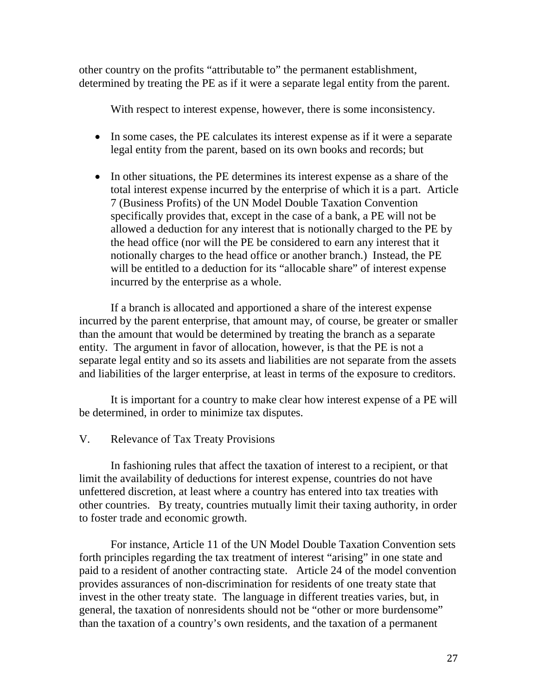other country on the profits "attributable to" the permanent establishment, determined by treating the PE as if it were a separate legal entity from the parent.

With respect to interest expense, however, there is some inconsistency.

- In some cases, the PE calculates its interest expense as if it were a separate legal entity from the parent, based on its own books and records; but
- In other situations, the PE determines its interest expense as a share of the total interest expense incurred by the enterprise of which it is a part. Article 7 (Business Profits) of the UN Model Double Taxation Convention specifically provides that, except in the case of a bank, a PE will not be allowed a deduction for any interest that is notionally charged to the PE by the head office (nor will the PE be considered to earn any interest that it notionally charges to the head office or another branch.) Instead, the PE will be entitled to a deduction for its "allocable share" of interest expense incurred by the enterprise as a whole.

If a branch is allocated and apportioned a share of the interest expense incurred by the parent enterprise, that amount may, of course, be greater or smaller than the amount that would be determined by treating the branch as a separate entity. The argument in favor of allocation, however, is that the PE is not a separate legal entity and so its assets and liabilities are not separate from the assets and liabilities of the larger enterprise, at least in terms of the exposure to creditors.

It is important for a country to make clear how interest expense of a PE will be determined, in order to minimize tax disputes.

<span id="page-26-0"></span>V. Relevance of Tax Treaty Provisions

In fashioning rules that affect the taxation of interest to a recipient, or that limit the availability of deductions for interest expense, countries do not have unfettered discretion, at least where a country has entered into tax treaties with other countries. By treaty, countries mutually limit their taxing authority, in order to foster trade and economic growth.

For instance, Article 11 of the UN Model Double Taxation Convention sets forth principles regarding the tax treatment of interest "arising" in one state and paid to a resident of another contracting state. Article 24 of the model convention provides assurances of non-discrimination for residents of one treaty state that invest in the other treaty state. The language in different treaties varies, but, in general, the taxation of nonresidents should not be "other or more burdensome" than the taxation of a country's own residents, and the taxation of a permanent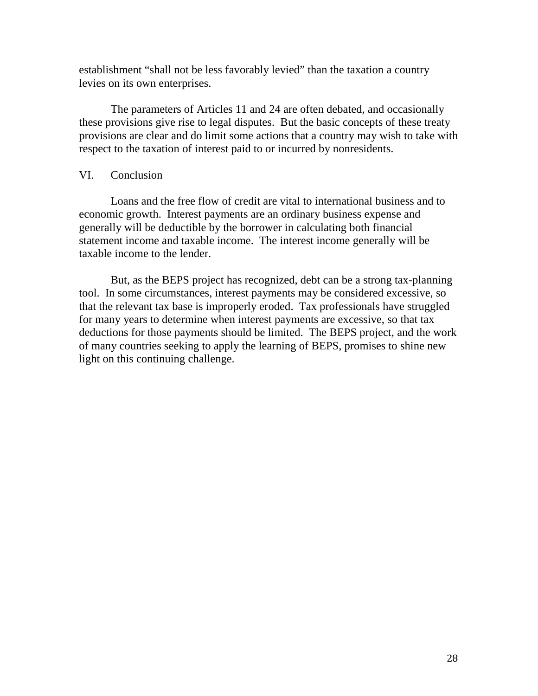establishment "shall not be less favorably levied" than the taxation a country levies on its own enterprises.

The parameters of Articles 11 and 24 are often debated, and occasionally these provisions give rise to legal disputes. But the basic concepts of these treaty provisions are clear and do limit some actions that a country may wish to take with respect to the taxation of interest paid to or incurred by nonresidents.

#### <span id="page-27-0"></span>VI. Conclusion

Loans and the free flow of credit are vital to international business and to economic growth. Interest payments are an ordinary business expense and generally will be deductible by the borrower in calculating both financial statement income and taxable income. The interest income generally will be taxable income to the lender.

But, as the BEPS project has recognized, debt can be a strong tax-planning tool. In some circumstances, interest payments may be considered excessive, so that the relevant tax base is improperly eroded. Tax professionals have struggled for many years to determine when interest payments are excessive, so that tax deductions for those payments should be limited. The BEPS project, and the work of many countries seeking to apply the learning of BEPS, promises to shine new light on this continuing challenge.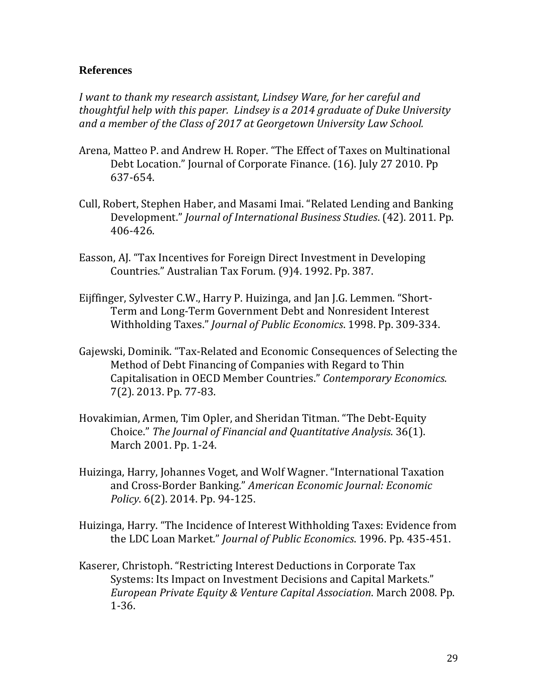## <span id="page-28-0"></span>**References**

*I want to thank my research assistant, Lindsey Ware, for her careful and thoughtful help with this paper. Lindsey is a 2014 graduate of Duke University and a member of the Class of 2017 at Georgetown University Law School.* 

- Arena, Matteo P. and Andrew H. Roper. "The Effect of Taxes on Multinational Debt Location." Journal of Corporate Finance. (16). July 27 2010. Pp 637-654.
- Cull, Robert, Stephen Haber, and Masami Imai. "Related Lending and Banking Development." *Journal of International Business Studies*. (42). 2011. Pp. 406-426.
- Easson, AJ. "Tax Incentives for Foreign Direct Investment in Developing Countries." Australian Tax Forum. (9)4. 1992. Pp. 387.
- Eijffinger, Sylvester C.W., Harry P. Huizinga, and Jan J.G. Lemmen. "Short-Term and Long-Term Government Debt and Nonresident Interest Withholding Taxes." *Journal of Public Economics*. 1998. Pp. 309-334.
- Gajewski, Dominik. "Tax-Related and Economic Consequences of Selecting the Method of Debt Financing of Companies with Regard to Thin Capitalisation in OECD Member Countries." *Contemporary Economics*. 7(2). 2013. Pp. 77-83.
- Hovakimian, Armen, Tim Opler, and Sheridan Titman. "The Debt-Equity Choice." *The Journal of Financial and Quantitative Analysis*. 36(1). March 2001. Pp. 1-24.
- Huizinga, Harry, Johannes Voget, and Wolf Wagner. "International Taxation and Cross-Border Banking." *American Economic Journal: Economic Policy*. 6(2). 2014. Pp. 94-125.
- Huizinga, Harry. "The Incidence of Interest Withholding Taxes: Evidence from the LDC Loan Market." *Journal of Public Economics*. 1996. Pp. 435-451.
- Kaserer, Christoph. "Restricting Interest Deductions in Corporate Tax Systems: Its Impact on Investment Decisions and Capital Markets." *European Private Equity & Venture Capital Association*. March 2008. Pp. 1-36.